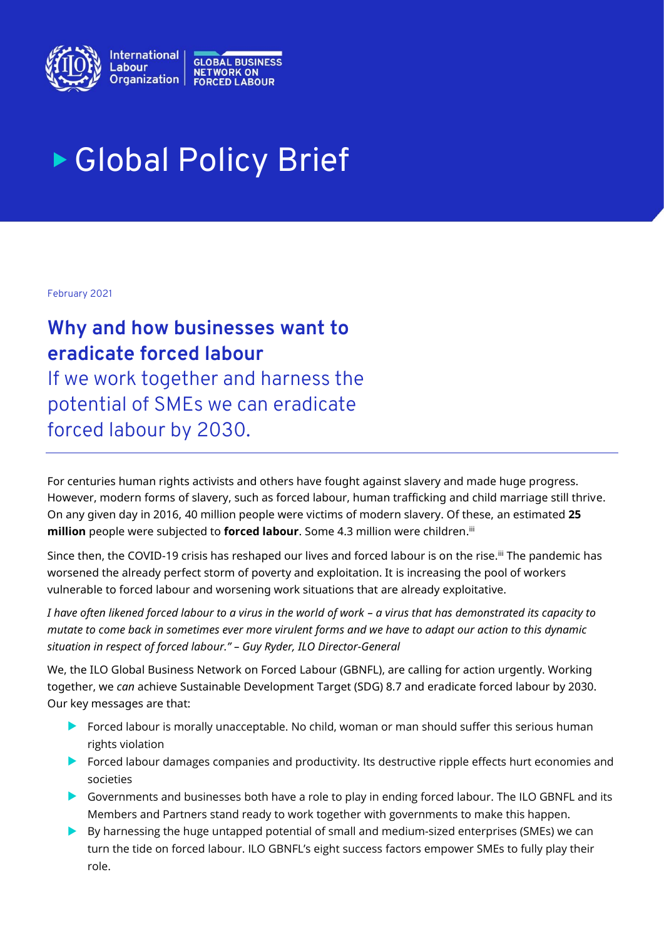

# Global Policy Brief

February 2021

# **Why and how businesses want to eradicate forced labour**

If we work together and harness the potential of SMEs we can eradicate forced labour by 2030.

For centuries human rights activists and others have fought against slavery and made huge progress. However, modern forms of slavery, such as forced labour, human trafficking and child marriage still thrive. On any given day in 2016, 40 million people were victims of modern slavery. Of these, an estimated **25 million** people were subjected to **forced labour**. Some 4.3 million were children.<sup>ii</sup>

Since then, the COVID-19 crisis has reshaped our lives and forced labour is on the rise.<sup>iii</sup> The pandemic has worsened the already perfect storm of poverty and exploitation. It is increasing the pool of workers vulnerable to forced labour and worsening work situations that are already exploitative.

*I have often likened forced labour to a virus in the world of work – a virus that has demonstrated its capacity to mutate to come back in sometimes ever more virulent forms and we have to adapt our action to this dynamic situation in respect of forced labour." – Guy Ryder, ILO Director-General*

We, the ILO Global Business Network on Forced Labour (GBNFL), are calling for action urgently. Working together, we *can* achieve Sustainable Development Target (SDG) 8.7 and eradicate forced labour by 2030. Our key messages are that:

- Forced labour is morally unacceptable. No child, woman or man should suffer this serious human rights violation
- Forced labour damages companies and productivity. Its destructive ripple effects hurt economies and societies
- Governments and businesses both have a role to play in ending forced labour. The ILO GBNFL and its Members and Partners stand ready to work together with governments to make this happen.
- $\blacktriangleright$  By harnessing the huge untapped potential of small and medium-sized enterprises (SMEs) we can turn the tide on forced labour. ILO GBNFL's eight success factors empower SMEs to fully play their role.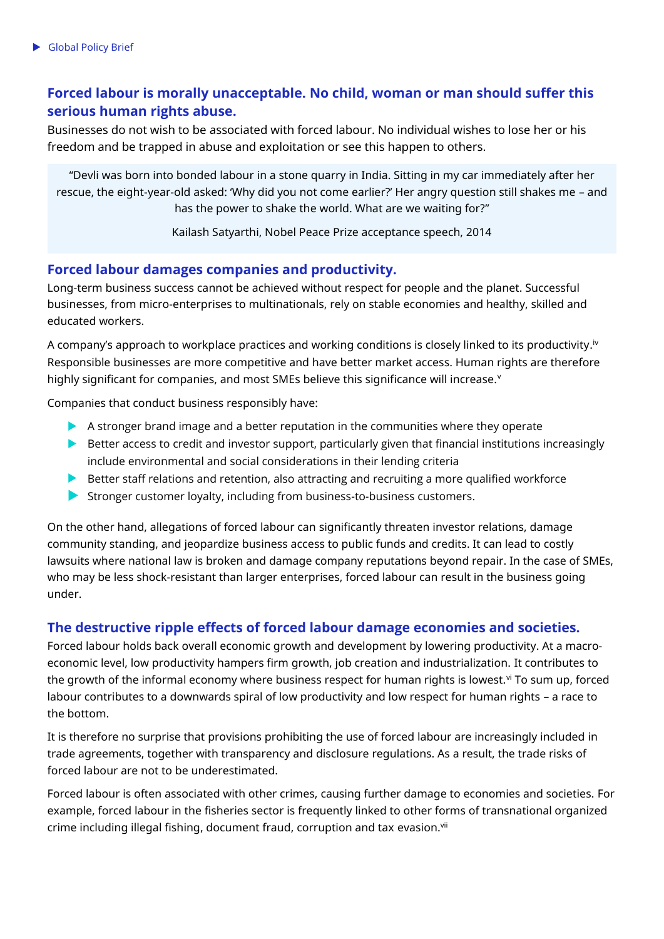# **Forced labour is morally unacceptable. No child, woman or man should suffer this serious human rights abuse.**

Businesses do not wish to be associated with forced labour. No individual wishes to lose her or his freedom and be trapped in abuse and exploitation or see this happen to others.

"Devli was born into bonded labour in a stone quarry in India. Sitting in my car immediately after her rescue, the eight-year-old asked: 'Why did you not come earlier?' Her angry question still shakes me – and has the power to shake the world. What are we waiting for?"

Kailash Satyarthi, Nobel Peace Prize acceptance speech, 2014

## **Forced labour damages companies and productivity.**

Long-term business success cannot be achieved without respect for people and the planet. Successful businesses, from micro-enterprises to multinationals, rely on stable economies and healthy, skilled and educated workers.

A company's approach to workplace practices and working conditions is closely linked to its productivity. $^{\rm b}$ Responsible businesses are more competitive and have better market access. Human rights are therefore highly significant for companies, and most SMEs believe this significance will increase. $v$ 

Companies that conduct business responsibly have:

- A stronger brand image and a better reputation in the communities where they operate
- Better access to credit and investor support, particularly given that financial institutions increasingly include environmental and social considerations in their lending criteria
- Better staff relations and retention, also attracting and recruiting a more qualified workforce
- Stronger customer loyalty, including from business-to-business customers.

On the other hand, allegations of forced labour can significantly threaten investor relations, damage community standing, and jeopardize business access to public funds and credits. It can lead to costly lawsuits where national law is broken and damage company reputations beyond repair. In the case of SMEs, who may be less shock-resistant than larger enterprises, forced labour can result in the business going under.

## **The destructive ripple effects of forced labour damage economies and societies.**

Forced labour holds back overall economic growth and development by lowering productivity. At a macroeconomic level, low productivity hampers firm growth, job creation and industrialization. It contributes to the growth of the informal economy where business respect for human rights is lowest.<sup>vi</sup> To sum up, forced labour contributes to a downwards spiral of low productivity and low respect for human rights – a race to the bottom.

It is therefore no surprise that provisions prohibiting the use of forced labour are increasingly included in trade agreements, together with transparency and disclosure regulations. As a result, the trade risks of forced labour are not to be underestimated.

Forced labour is often associated with other crimes, causing further damage to economies and societies. For example, forced labour in the fisheries sector is frequently linked to other forms of transnational organized crime including illegal fishing, document fraud, corruption and tax evasion.<sup>vii</sup>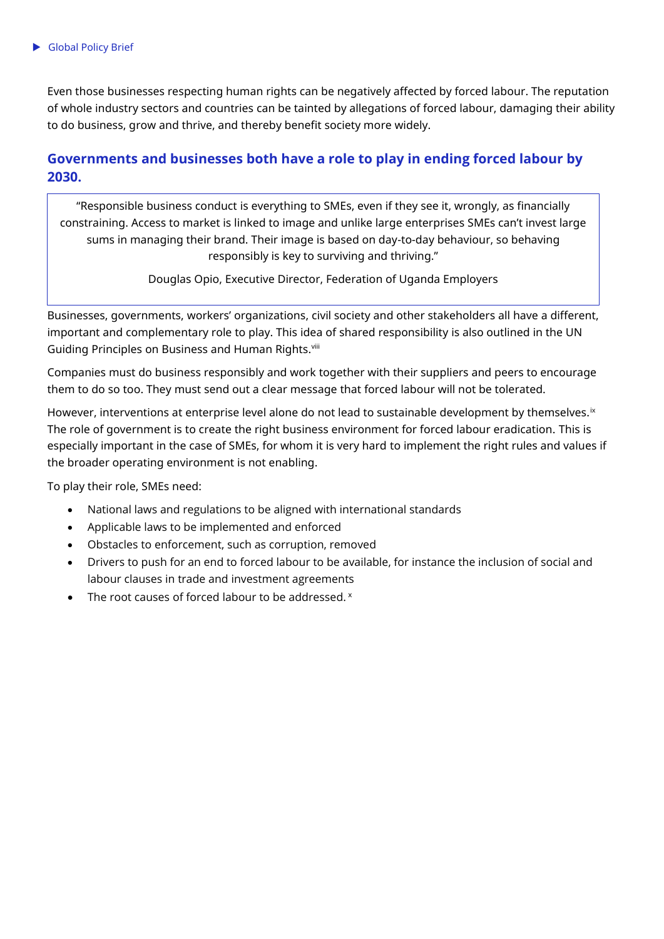Even those businesses respecting human rights can be negatively affected by forced labour. The reputation of whole industry sectors and countries can be tainted by allegations of forced labour, damaging their ability to do business, grow and thrive, and thereby benefit society more widely.

# **Governments and businesses both have a role to play in ending forced labour by 2030.**

"Responsible business conduct is everything to SMEs, even if they see it, wrongly, as financially constraining. Access to market is linked to image and unlike large enterprises SMEs can't invest large sums in managing their brand. Their image is based on day-to-day behaviour, so behaving responsibly is key to surviving and thriving."

Douglas Opio, Executive Director, Federation of Uganda Employers

Businesses, governments, workers' organizations, civil society and other stakeholders all have a different, important and complementary role to play. This idea of shared responsibility is also outlined in the UN Guiding Principles on Business and Human Rights.<sup>viii</sup>

Companies must do business responsibly and work together with their suppliers and peers to encourage them to do so too. They must send out a clear message that forced labour will not be tolerated.

However, interventions at enterprise level alone do not lead to sustainable development by themselves.<sup>ix</sup> The role of government is to create the right business environment for forced labour eradication. This is especially important in the case of SMEs, for whom it is very hard to implement the right rules and values if the broader operating environment is not enabling.

To play their role, SMEs need:

- National laws and regulations to be aligned with international standards
- Applicable laws to be implemented and enforced
- Obstacles to enforcement, such as corruption, removed
- Drivers to push for an end to forced labour to be available, for instance the inclusion of social and labour clauses in trade and investment agreements
- The root causes of forced labour to be addressed.  $x$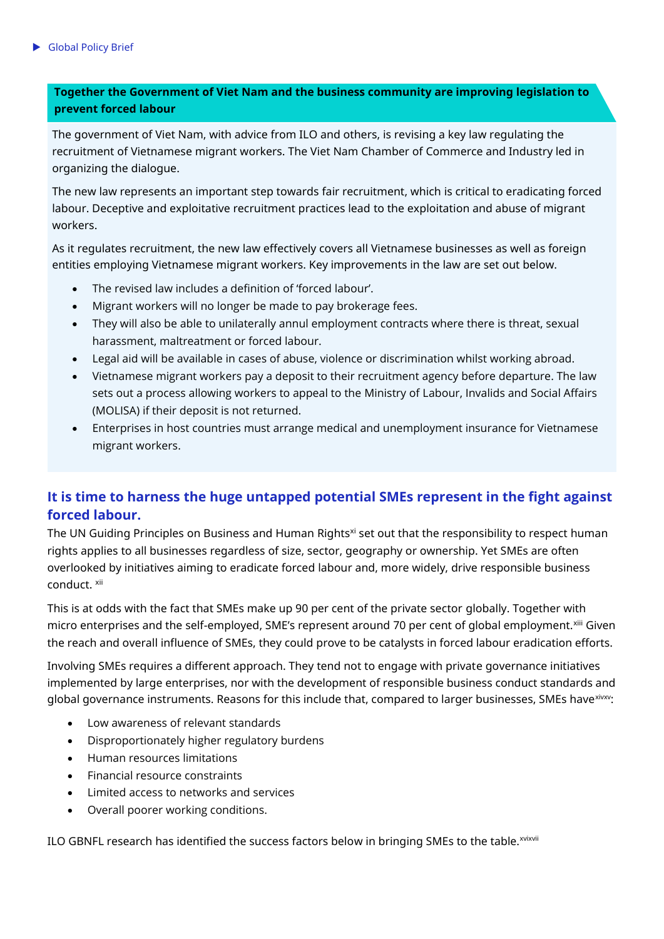# **Together the Government of Viet Nam and the business community are improving legislation to prevent forced labour**

The government of Viet Nam, with advice from ILO and others, is revising a key law regulating the recruitment of Vietnamese migrant workers. The Viet Nam Chamber of Commerce and Industry led in organizing the dialogue.

The new law represents an important step towards fair recruitment, which is critical to eradicating forced labour. Deceptive and exploitative recruitment practices lead to the exploitation and abuse of migrant workers.

As it regulates recruitment, the new law effectively covers all Vietnamese businesses as well as foreign entities employing Vietnamese migrant workers. Key improvements in the law are set out below.

- The revised law includes a definition of 'forced labour'.
- Migrant workers will no longer be made to pay brokerage fees.
- They will also be able to unilaterally annul employment contracts where there is threat, sexual harassment, maltreatment or forced labour.
- Legal aid will be available in cases of abuse, violence or discrimination whilst working abroad.
- Vietnamese migrant workers pay a deposit to their recruitment agency before departure. The law sets out a process allowing workers to appeal to the Ministry of Labour, Invalids and Social Affairs (MOLISA) if their deposit is not returned.
- Enterprises in host countries must arrange medical and unemployment insurance for Vietnamese migrant workers.

# **It is time to harness the huge untapped potential SMEs represent in the fight against forced labour.**

The UN Guiding Principles on Business and Human Rights<sup>xi</sup> set out that the responsibility to respect human rights applies to all businesses regardless of size, sector, geography or ownership. Yet SMEs are often overlooked by initiatives aiming to eradicate forced labour and, more widely, drive responsible business conduct. xii

This is at odds with the fact that SMEs make up 90 per cent of the private sector globally. Together with micro enterprises and the self-employed, SME's represent around 70 per cent of global employment.<sup>xiii</sup> Given the reach and overall influence of SMEs, they could prove to be catalysts in forced labour eradication efforts.

Involving SMEs requires a different approach. They tend not to engage with private governance initiatives implemented by large enterprises, nor with the development of responsible business conduct standards and global governance instruments. Reasons for this include that, compared to larger businesses, SMEs have xivxy:

- Low awareness of relevant standards
- Disproportionately higher regulatory burdens
- Human resources limitations
- Financial resource constraints
- Limited access to networks and services
- Overall poorer working conditions.

ILO GBNFL research has identified the success factors below in bringing SMEs to the table. Xvixvii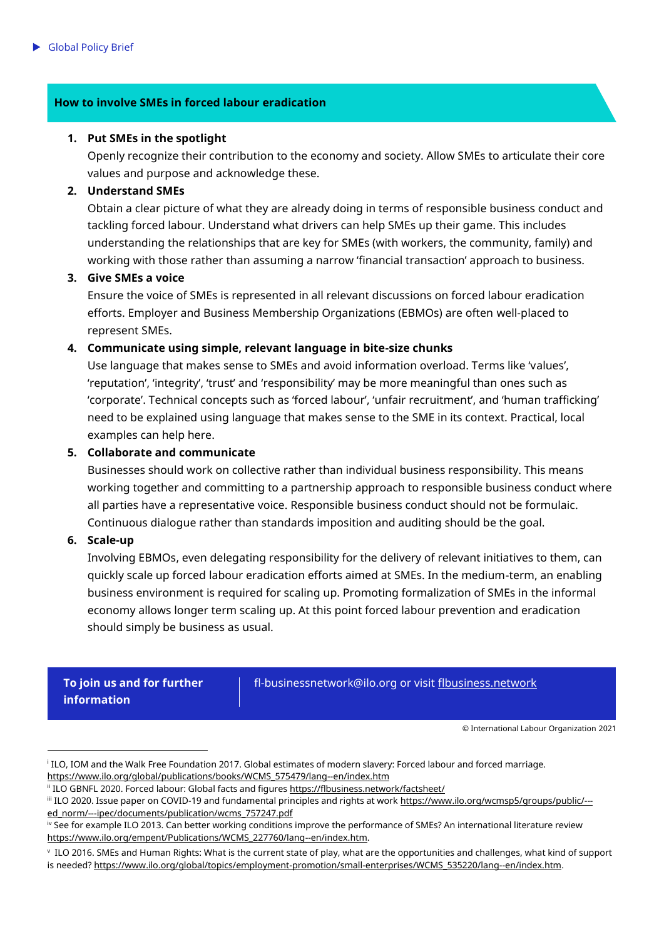## **How to involve SMEs in forced labour eradication**

#### **1. Put SMEs in the spotlight**

Openly recognize their contribution to the economy and society. Allow SMEs to articulate their core values and purpose and acknowledge these.

#### **2. Understand SMEs**

Obtain a clear picture of what they are already doing in terms of responsible business conduct and tackling forced labour. Understand what drivers can help SMEs up their game. This includes understanding the relationships that are key for SMEs (with workers, the community, family) and working with those rather than assuming a narrow 'financial transaction' approach to business.

#### **3. Give SMEs a voice**

Ensure the voice of SMEs is represented in all relevant discussions on forced labour eradication efforts. Employer and Business Membership Organizations (EBMOs) are often well-placed to represent SMEs.

#### **4. Communicate using simple, relevant language in bite-size chunks**

Use language that makes sense to SMEs and avoid information overload. Terms like 'values', 'reputation', 'integrity', 'trust' and 'responsibility' may be more meaningful than ones such as 'corporate'. Technical concepts such as 'forced labour', 'unfair recruitment', and 'human trafficking' need to be explained using language that makes sense to the SME in its context. Practical, local examples can help here.

#### **5. Collaborate and communicate**

Businesses should work on collective rather than individual business responsibility. This means working together and committing to a partnership approach to responsible business conduct where all parties have a representative voice. Responsible business conduct should not be formulaic. Continuous dialogue rather than standards imposition and auditing should be the goal.

#### **6. Scale-up**

j

Involving EBMOs, even delegating responsibility for the delivery of relevant initiatives to them, can quickly scale up forced labour eradication efforts aimed at SMEs. In the medium-term, an enabling business environment is required for scaling up. Promoting formalization of SMEs in the informal economy allows longer term scaling up. At this point forced labour prevention and eradication should simply be business as usual.

**To join us and for further information**

fl-businessnetwork@ilo.org or visit [flbusiness.network](file:///C:/Users/mwoodcoc/Documents/2.%20Projects/001-00076%20ILO/006%20Forced%20Labour/003%20Collateral%20v3%20(new%20branding%20update)/8.%20final%20files/membership%20&%20partnership/english/flbusiness.network)

© International Labour Organization 2021

i ILO, IOM and the Walk Free Foundation 2017. Global estimates of modern slavery: Forced labour and forced marriage. [https://www.ilo.org/global/publications/books/WCMS\\_575479/lang--en/index.htm](https://www.ilo.org/global/publications/books/WCMS_575479/lang--en/index.htm)

ii ILO GBNFL 2020. Forced labour: Global facts and figures<https://flbusiness.network/factsheet/>

iii ILO 2020. Issue paper on COVID-19 and fundamental principles and rights at work [https://www.ilo.org/wcmsp5/groups/public/--](https://www.ilo.org/wcmsp5/groups/public/---ed_norm/---ipec/documents/publication/wcms_757247.pdf) [ed\\_norm/---ipec/documents/publication/wcms\\_757247.pdf](https://www.ilo.org/wcmsp5/groups/public/---ed_norm/---ipec/documents/publication/wcms_757247.pdf)

iv See for example ILO 2013. Can better working conditions improve the performance of SMEs? An international literature review [https://www.ilo.org/empent/Publications/WCMS\\_227760/lang--en/index.htm.](https://www.ilo.org/empent/Publications/WCMS_227760/lang--en/index.htm) 

v ILO 2016. SMEs and Human Rights: What is the current state of play, what are the opportunities and challenges, what kind of support is needed[? https://www.ilo.org/global/topics/employment-promotion/small-enterprises/WCMS\\_535220/lang--en/index.htm.](https://www.ilo.org/global/topics/employment-promotion/small-enterprises/WCMS_535220/lang--en/index.htm)